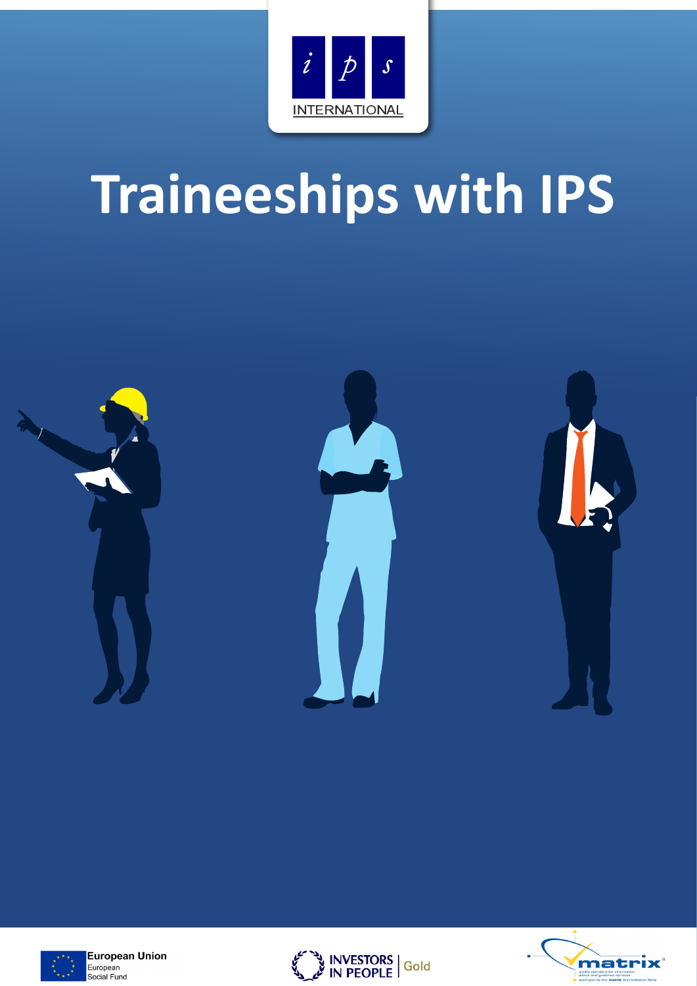

# **Traineeships with IPS**





**European Union** European Social Fund



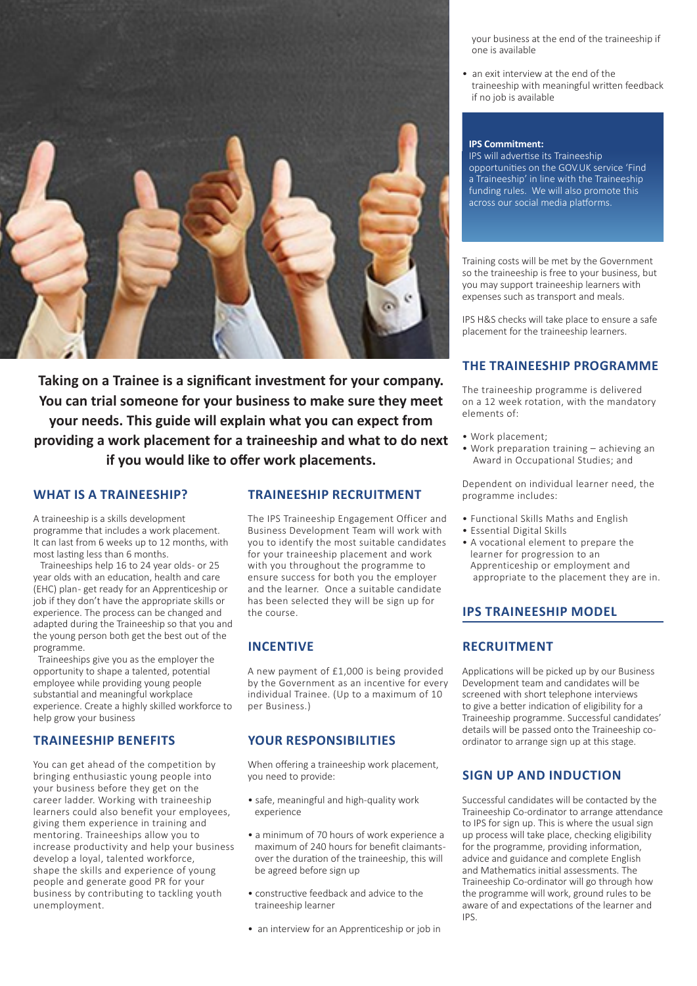

**Taking on a Trainee is a significant investment for your company. You can trial someone for your business to make sure they meet your needs. This guide will explain what you can expect from providing a work placement for a traineeship and what to do next if you would like to offer work placements.** 

### **WHAT IS A TRAINEESHIP?**

A traineeship is a skills development programme that includes a work placement. It can last from 6 weeks up to 12 months, with most lasting less than 6 months.

Traineeships help 16 to 24 year olds- or 25 year olds with an education, health and care (EHC) plan-get ready for an Apprenticeship or job if they don't have the appropriate skills or experience. The process can be changed and adapted during the Traineeship so that you and the young person both get the best out of the programme.

 Traineeships give you as the employer the opportunity to shape a talented, potential employee while providing young people substantial and meaningful workplace experience. Create a highly skilled workforce to help grow your business

#### **TRAINEESHIP BENEFITS**

You can get ahead of the competition by bringing enthusiastic young people into your business before they get on the career ladder. Working with traineeship learners could also benefit your employees, giving them experience in training and mentoring. Traineeships allow you to increase productivity and help your business develop a loyal, talented workforce, shape the skills and experience of young people and generate good PR for your business by contributing to tackling youth unemployment.

## **TRAINEESHIP RECRUITMENT**

The IPS Traineeship Engagement Officer and Business Development Team will work with you to identify the most suitable candidates for your traineeship placement and work with you throughout the programme to ensure success for both you the employer and the learner. Once a suitable candidate has been selected they will be sign up for the course.

#### **INCENTIVE**

A new payment of £1,000 is being provided by the Government as an incentive for every individual Trainee. (Up to a maximum of 10 per Business.)

#### **YOUR RESPONSIBILITIES**

When offering a traineeship work placement, you need to provide:

- safe, meaningful and high-quality work experience
- a minimum of 70 hours of work experience a maximum of 240 hours for benefit claimants over the duration of the traineeship, this will be agreed before sign up
- constructive feedback and advice to the traineeship learner
- an interview for an Apprenticeship or job in

 your business at the end of the traineeship if one is available

• an exit interview at the end of the traineeship with meaningful written feedback if no job is available

#### **IPS Commitment:**

IPS will advertise its Traineeship opportunities on the GOV.UK service 'Find a Traineeship' in line with the Traineeship funding rules. We will also promote this across our social media platforms.

Training costs will be met by the Government so the traineeship is free to your business, but you may support traineeship learners with expenses such as transport and meals.

IPS H&S checks will take place to ensure a safe placement for the traineeship learners.

#### **THE TRAINEESHIP PROGRAMME**

The traineeship programme is delivered on a 12 week rotation, with the mandatory elements of:

- Work placement;
- Work preparation training achieving an Award in Occupational Studies; and

Dependent on individual learner need, the programme includes:

- Functional Skills Maths and English
- Essential Digital Skills
- A vocational element to prepare the learner for progression to an Apprenticeship or employment and appropriate to the placement they are in.

#### **IPS TRAINEESHIP MODEL**

#### **RECRUITMENT**

Applications will be picked up by our Business Development team and candidates will be screened with short telephone interviews to give a better indication of eligibility for a Traineeship programme. Successful candidates' details will be passed onto the Traineeship coordinator to arrange sign up at this stage.

#### **SIGN UP AND INDUCTION**

Successful candidates will be contacted by the Traineeship Co-ordinator to arrange attendance to IPS for sign up. This is where the usual sign up process will take place, checking eligibility for the programme, providing information, advice and guidance and complete English and Mathematics initial assessments. The Traineeship Co-ordinator will go through how the programme will work, ground rules to be aware of and expectations of the learner and IPS.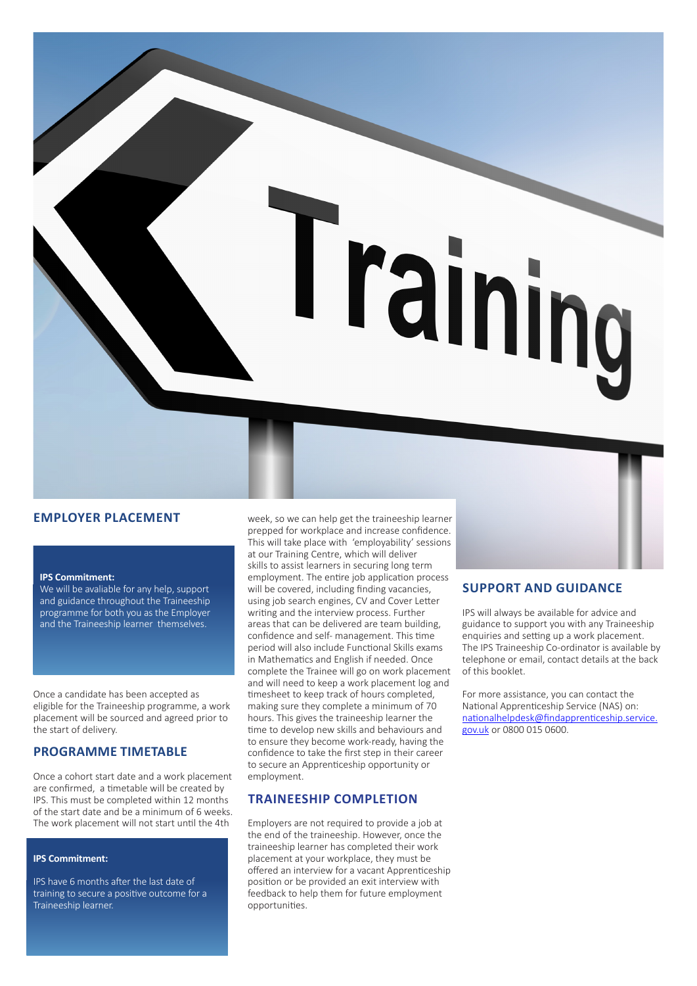

### **EMPLOYER PLACEMENT**

#### **IPS Commitment:**

We will be avaliable for any help, support and guidance throughout the Traineeship programme for both you as the Employer and the Traineeship learner themselves.

Once a candidate has been accepted as eligible for the Traineeship programme, a work placement will be sourced and agreed prior to the start of delivery.

#### **PROGRAMME TIMETABLE**

Once a cohort start date and a work placement are confirmed, a timetable will be created by IPS. This must be completed within 12 months of the start date and be a minimum of 6 weeks. The work placement will not start until the 4th

#### **IPS Commitment:**

IPS have 6 months after the last date of training to secure a positive outcome for a Traineeship learner.

week, so we can help get the traineeship learner prepped for workplace and increase confidence. This will take place with 'employability' sessions at our Training Centre, which will deliver skills to assist learners in securing long term employment. The entire job application process will be covered, including finding vacancies, using job search engines, CV and Cover Letter writing and the interview process. Further areas that can be delivered are team building, confidence and self- management. This time period will also include Functional Skills exams in Mathematics and English if needed. Once complete the Trainee will go on work placement and will need to keep a work placement log and timesheet to keep track of hours completed, making sure they complete a minimum of 70 hours. This gives the traineeship learner the time to develop new skills and behaviours and to ensure they become work-ready, having the confidence to take the first step in their career to secure an Apprenticeship opportunity or employment.

#### **TRAINEESHIP COMPLETION**

Employers are not required to provide a job at the end of the traineeship. However, once the traineeship learner has completed their work placement at your workplace, they must be offered an interview for a vacant Apprenticeship position or be provided an exit interview with feedback to help them for future employment opportunities.

#### **SUPPORT AND GUIDANCE**

IPS will always be available for advice and guidance to support you with any Traineeship enquiries and setting up a work placement. The IPS Traineeship Co-ordinator is available by telephone or email, contact details at the back of this booklet.

For more assistance, you can contact the National Apprenticeship Service (NAS) on: nationalhelpdesk@findapprenticeship.service. gov.uk or 0800 015 0600.